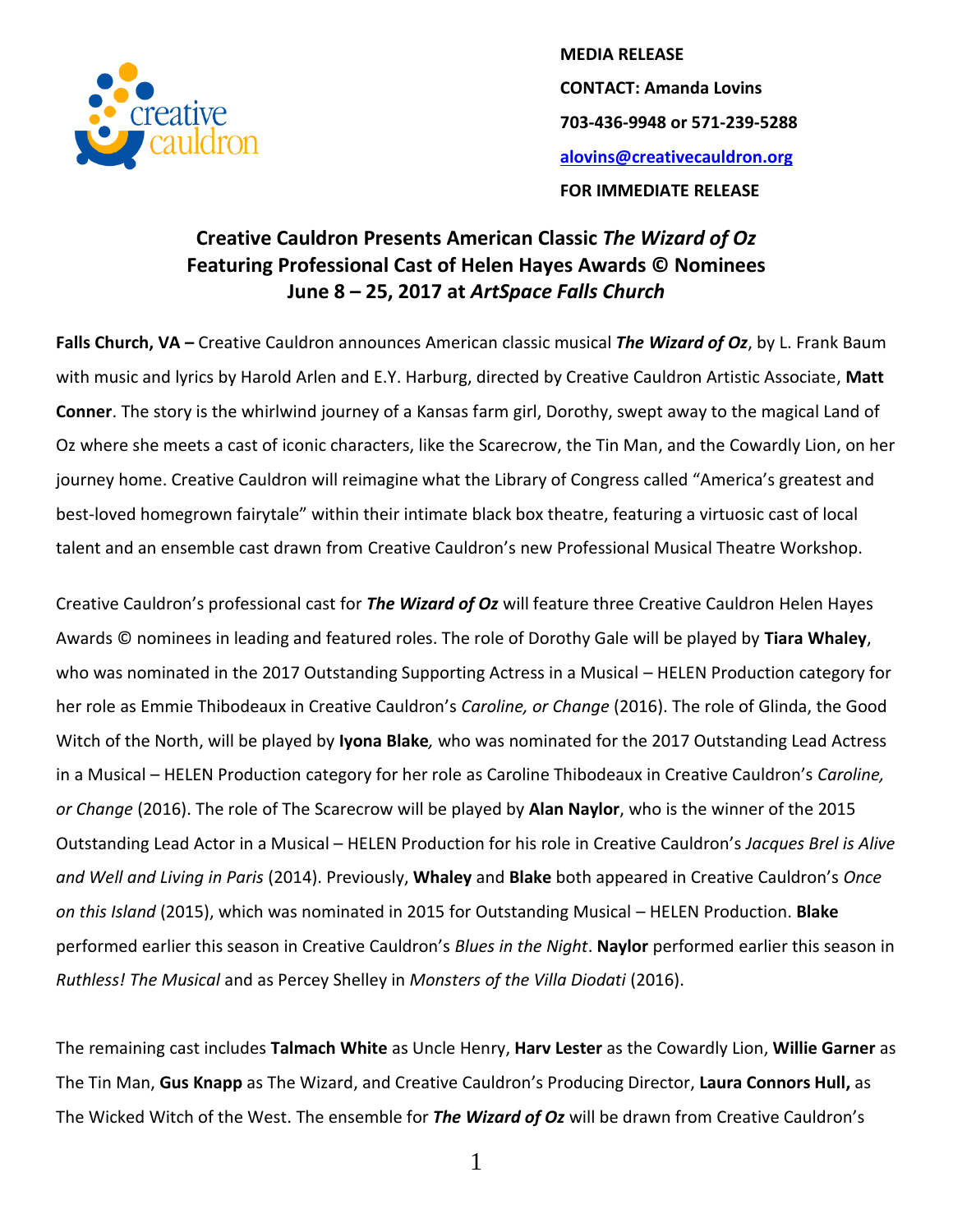

**MEDIA RELEASE CONTACT: Amanda Lovins 703-436-9948 or 571-239-5288 [alovins@creativecauldron.org](mailto:alovins@creativecauldron.org) FOR IMMEDIATE RELEASE**

## **Creative Cauldron Presents American Classic** *The Wizard of Oz* **Featuring Professional Cast of Helen Hayes Awards © Nominees June 8 – 25, 2017 at** *ArtSpace Falls Church*

**Falls Church, VA –** Creative Cauldron announces American classic musical *The Wizard of Oz*, by L. Frank Baum with music and lyrics by Harold Arlen and E.Y. Harburg, directed by Creative Cauldron Artistic Associate, **Matt Conner**. The story is the whirlwind journey of a Kansas farm girl, Dorothy, swept away to the magical Land of Oz where she meets a cast of iconic characters, like the Scarecrow, the Tin Man, and the Cowardly Lion, on her journey home. Creative Cauldron will reimagine what the Library of Congress called "America's greatest and best-loved homegrown fairytale" within their intimate black box theatre, featuring a virtuosic cast of local talent and an ensemble cast drawn from Creative Cauldron's new Professional Musical Theatre Workshop.

Creative Cauldron's professional cast for *The Wizard of Oz* will feature three Creative Cauldron Helen Hayes Awards © nominees in leading and featured roles. The role of Dorothy Gale will be played by **Tiara Whaley**, who was nominated in the 2017 Outstanding Supporting Actress in a Musical – HELEN Production category for her role as Emmie Thibodeaux in Creative Cauldron's *Caroline, or Change* (2016). The role of Glinda, the Good Witch of the North, will be played by **Iyona Blake***,* who was nominated for the 2017 Outstanding Lead Actress in a Musical – HELEN Production category for her role as Caroline Thibodeaux in Creative Cauldron's *Caroline, or Change* (2016). The role of The Scarecrow will be played by **Alan Naylor**, who is the winner of the 2015 Outstanding Lead Actor in a Musical – HELEN Production for his role in Creative Cauldron's *Jacques Brel is Alive and Well and Living in Paris* (2014). Previously, **Whaley** and **Blake** both appeared in Creative Cauldron's *Once on this Island* (2015), which was nominated in 2015 for Outstanding Musical – HELEN Production. **Blake**  performed earlier this season in Creative Cauldron's *Blues in the Night*. **Naylor** performed earlier this season in *Ruthless! The Musical* and as Percey Shelley in *Monsters of the Villa Diodati* (2016).

The remaining cast includes **Talmach White** as Uncle Henry, **Harv Lester** as the Cowardly Lion, **Willie Garner** as The Tin Man, **Gus Knapp** as The Wizard, and Creative Cauldron's Producing Director, **Laura Connors Hull,** as The Wicked Witch of the West. The ensemble for *The Wizard of Oz* will be drawn from Creative Cauldron's

1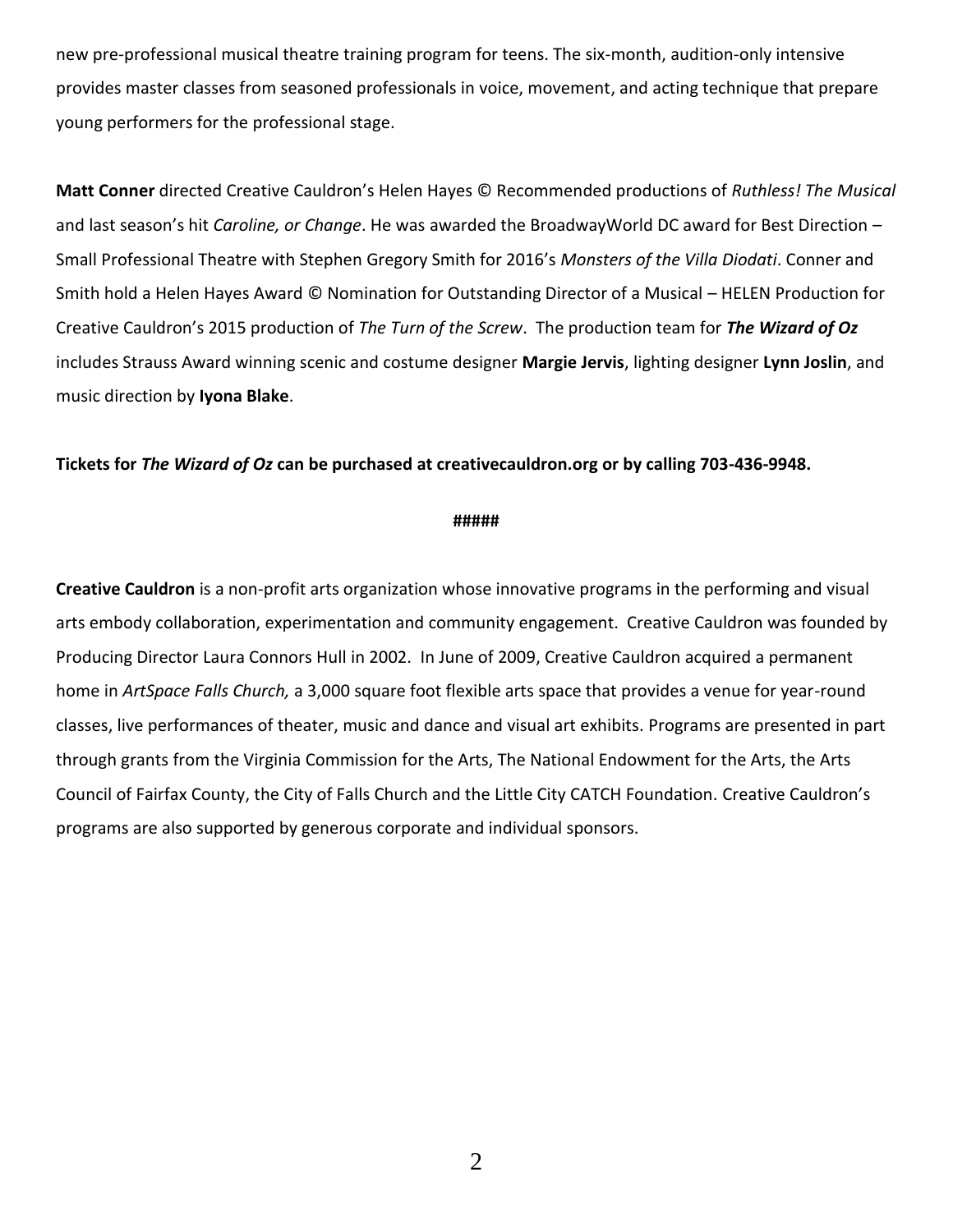new pre-professional musical theatre training program for teens. The six-month, audition-only intensive provides master classes from seasoned professionals in voice, movement, and acting technique that prepare young performers for the professional stage.

**Matt Conner** directed Creative Cauldron's Helen Hayes © Recommended productions of *Ruthless! The Musical*  and last season's hit *Caroline, or Change*. He was awarded the BroadwayWorld DC award for Best Direction – Small Professional Theatre with Stephen Gregory Smith for 2016's *Monsters of the Villa Diodati*. Conner and Smith hold a Helen Hayes Award © Nomination for Outstanding Director of a Musical – HELEN Production for Creative Cauldron's 2015 production of *The Turn of the Screw*. The production team for *The Wizard of Oz* includes Strauss Award winning scenic and costume designer **Margie Jervis**, lighting designer **Lynn Joslin**, and music direction by **Iyona Blake**.

## **Tickets for** *The Wizard of Oz* **can be purchased at creativecauldron.org or by calling 703-436-9948.**

## **#####**

**Creative Cauldron** is a non-profit arts organization whose innovative programs in the performing and visual arts embody collaboration, experimentation and community engagement. Creative Cauldron was founded by Producing Director Laura Connors Hull in 2002. In June of 2009, Creative Cauldron acquired a permanent home in *ArtSpace Falls Church,* a 3,000 square foot flexible arts space that provides a venue for year-round classes, live performances of theater, music and dance and visual art exhibits. Programs are presented in part through grants from the Virginia Commission for the Arts, The National Endowment for the Arts, the Arts Council of Fairfax County, the City of Falls Church and the Little City CATCH Foundation. Creative Cauldron's programs are also supported by generous corporate and individual sponsors.

2